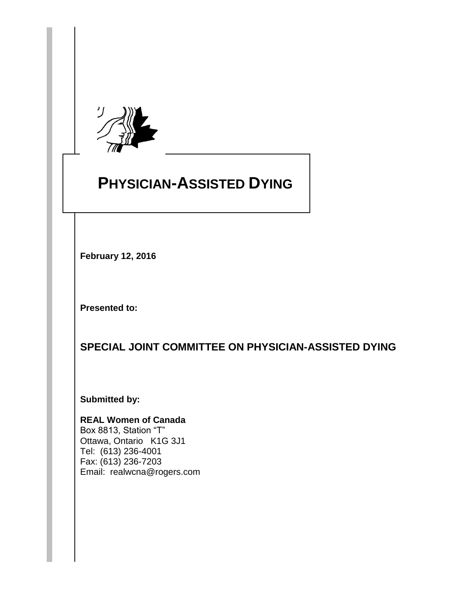

# **PHYSICIAN-ASSISTED DYING**

**February 12, 2016**

**Presented to:**

**SPECIAL JOINT COMMITTEE ON PHYSICIAN-ASSISTED DYING**  $\overline{a}$ **THE INTEGRITY COMMITTEE OF** 

**Submitted by:**

**REAL Women of Canada** Box 8813, Station "T" Ottawa, Ontario K1G 3J1 Tel: (613) 236-4001 Fax: (613) 236-7203 Email: realwcna@rogers.com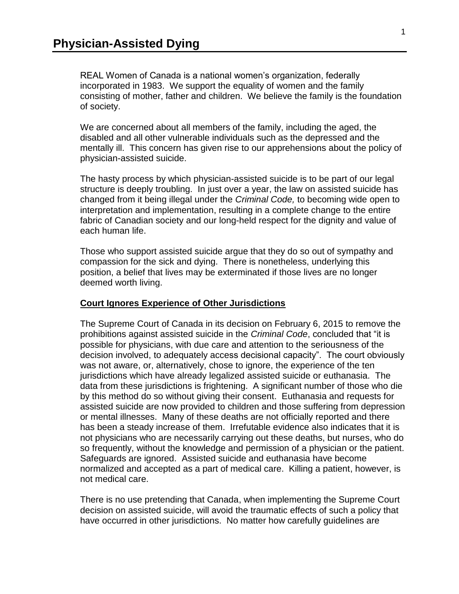REAL Women of Canada is a national women's organization, federally incorporated in 1983. We support the equality of women and the family consisting of mother, father and children. We believe the family is the foundation of society.

We are concerned about all members of the family, including the aged, the disabled and all other vulnerable individuals such as the depressed and the mentally ill. This concern has given rise to our apprehensions about the policy of physician-assisted suicide.

The hasty process by which physician-assisted suicide is to be part of our legal structure is deeply troubling. In just over a year, the law on assisted suicide has changed from it being illegal under the *Criminal Code,* to becoming wide open to interpretation and implementation, resulting in a complete change to the entire fabric of Canadian society and our long-held respect for the dignity and value of each human life.

Those who support assisted suicide argue that they do so out of sympathy and compassion for the sick and dying. There is nonetheless, underlying this position, a belief that lives may be exterminated if those lives are no longer deemed worth living.

#### **Court Ignores Experience of Other Jurisdictions**

The Supreme Court of Canada in its decision on February 6, 2015 to remove the prohibitions against assisted suicide in the *Criminal Code*, concluded that "it is possible for physicians, with due care and attention to the seriousness of the decision involved, to adequately access decisional capacity". The court obviously was not aware, or, alternatively, chose to ignore, the experience of the ten jurisdictions which have already legalized assisted suicide or euthanasia. The data from these jurisdictions is frightening. A significant number of those who die by this method do so without giving their consent. Euthanasia and requests for assisted suicide are now provided to children and those suffering from depression or mental illnesses. Many of these deaths are not officially reported and there has been a steady increase of them. Irrefutable evidence also indicates that it is not physicians who are necessarily carrying out these deaths, but nurses, who do so frequently, without the knowledge and permission of a physician or the patient. Safeguards are ignored. Assisted suicide and euthanasia have become normalized and accepted as a part of medical care. Killing a patient, however, is not medical care.

There is no use pretending that Canada, when implementing the Supreme Court decision on assisted suicide, will avoid the traumatic effects of such a policy that have occurred in other jurisdictions. No matter how carefully quidelines are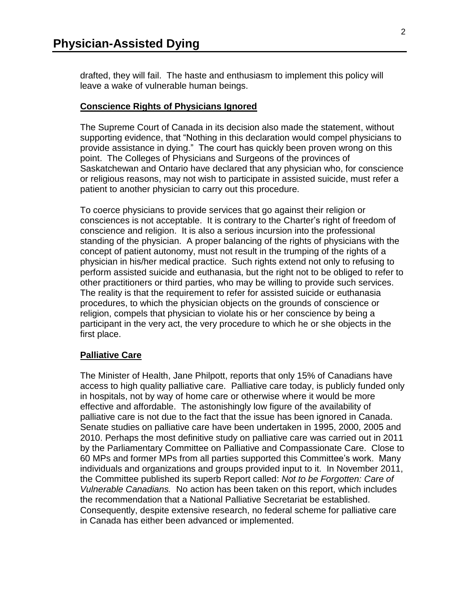drafted, they will fail. The haste and enthusiasm to implement this policy will leave a wake of vulnerable human beings.

#### **Conscience Rights of Physicians Ignored**

The Supreme Court of Canada in its decision also made the statement, without supporting evidence, that "Nothing in this declaration would compel physicians to provide assistance in dying." The court has quickly been proven wrong on this point. The Colleges of Physicians and Surgeons of the provinces of Saskatchewan and Ontario have declared that any physician who, for conscience or religious reasons, may not wish to participate in assisted suicide, must refer a patient to another physician to carry out this procedure.

To coerce physicians to provide services that go against their religion or consciences is not acceptable. It is contrary to the Charter's right of freedom of conscience and religion. It is also a serious incursion into the professional standing of the physician. A proper balancing of the rights of physicians with the concept of patient autonomy, must not result in the trumping of the rights of a physician in his/her medical practice. Such rights extend not only to refusing to perform assisted suicide and euthanasia, but the right not to be obliged to refer to other practitioners or third parties, who may be willing to provide such services. The reality is that the requirement to refer for assisted suicide or euthanasia procedures, to which the physician objects on the grounds of conscience or religion, compels that physician to violate his or her conscience by being a participant in the very act, the very procedure to which he or she objects in the first place.

## **Palliative Care**

The Minister of Health, Jane Philpott, reports that only 15% of Canadians have access to high quality palliative care. Palliative care today, is publicly funded only in hospitals, not by way of home care or otherwise where it would be more effective and affordable. The astonishingly low figure of the availability of palliative care is not due to the fact that the issue has been ignored in Canada. Senate studies on palliative care have been undertaken in 1995, 2000, 2005 and 2010. Perhaps the most definitive study on palliative care was carried out in 2011 by the Parliamentary Committee on Palliative and Compassionate Care. Close to 60 MPs and former MPs from all parties supported this Committee's work. Many individuals and organizations and groups provided input to it. In November 2011, the Committee published its superb Report called: *Not to be Forgotten: Care of Vulnerable Canadians.* No action has been taken on this report, which includes the recommendation that a National Palliative Secretariat be established. Consequently, despite extensive research, no federal scheme for palliative care in Canada has either been advanced or implemented.